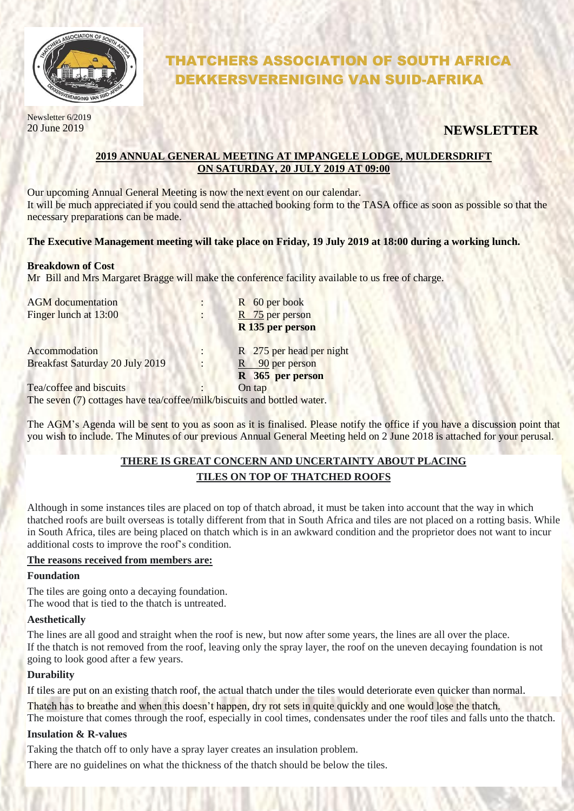

# THATCHERS ASSOCIATION OF SOUTH AFRICA DEKKERSVERENIGING VAN SUID-AFRIKA

Newsletter 6/2019

# 20 June 2019 **NEWSLETTER**

## **2019 ANNUAL GENERAL MEETING AT IMPANGELE LODGE, MULDERSDRIFT ON SATURDAY, 20 JULY 2019 AT 09:00**

Our upcoming Annual General Meeting is now the next event on our calendar. It will be much appreciated if you could send the attached booking form to the TASA office as soon as possible so that the necessary preparations can be made.

## **The Executive Management meeting will take place on Friday, 19 July 2019 at 18:00 during a working lunch.**

#### **Breakdown of Cost**

Mr Bill and Mrs Margaret Bragge will make the conference facility available to us free of charge.

| <b>AGM</b> documentation                                                                                                                                                              | R 60 per book            |
|---------------------------------------------------------------------------------------------------------------------------------------------------------------------------------------|--------------------------|
| Finger lunch at 13:00                                                                                                                                                                 | R 75 per person          |
|                                                                                                                                                                                       | R 135 per person         |
| Accommodation                                                                                                                                                                         | R 275 per head per night |
| Breakfast Saturday 20 July 2019                                                                                                                                                       | $R = 90$ per person      |
|                                                                                                                                                                                       | R 365 per person         |
| Tea/coffee and biscuits                                                                                                                                                               | On tap                   |
| $\mathbf{T}_{1}$ , excess (7) and in the set of the final $\mathbf{C}_{2}$ , for $\mathbf{H}_{2}$ , $\mathbf{L}_{3}$ , and $\mathbf{L}_{4}$ and $\mathbf{L}_{5}$ and $\mathbf{L}_{6}$ |                          |

The seven (7) cottages have tea/coffee/milk/biscuits and bottled water.

The AGM's Agenda will be sent to you as soon as it is finalised. Please notify the office if you have a discussion point that you wish to include. The Minutes of our previous Annual General Meeting held on 2 June 2018 is attached for your perusal.

# **THERE IS GREAT CONCERN AND UNCERTAINTY ABOUT PLACING TILES ON TOP OF THATCHED ROOFS**

Although in some instances tiles are placed on top of thatch abroad, it must be taken into account that the way in which thatched roofs are built overseas is totally different from that in South Africa and tiles are not placed on a rotting basis. While in South Africa, tiles are being placed on thatch which is in an awkward condition and the proprietor does not want to incur additional costs to improve the roof's condition.

#### **The reasons received from members are:**

#### **Foundation**

The tiles are going onto a decaying foundation. The wood that is tied to the thatch is untreated.

## **Aesthetically**

The lines are all good and straight when the roof is new, but now after some years, the lines are all over the place. If the thatch is not removed from the roof, leaving only the spray layer, the roof on the uneven decaying foundation is not going to look good after a few years.

## **Durability**

If tiles are put on an existing thatch roof, the actual thatch under the tiles would deteriorate even quicker than normal.

Thatch has to breathe and when this doesn't happen, dry rot sets in quite quickly and one would lose the thatch. The moisture that comes through the roof, especially in cool times, condensates under the roof tiles and falls unto the thatch.

## **Insulation & R-values**

Taking the thatch off to only have a spray layer creates an insulation problem.

There are no guidelines on what the thickness of the thatch should be below the tiles.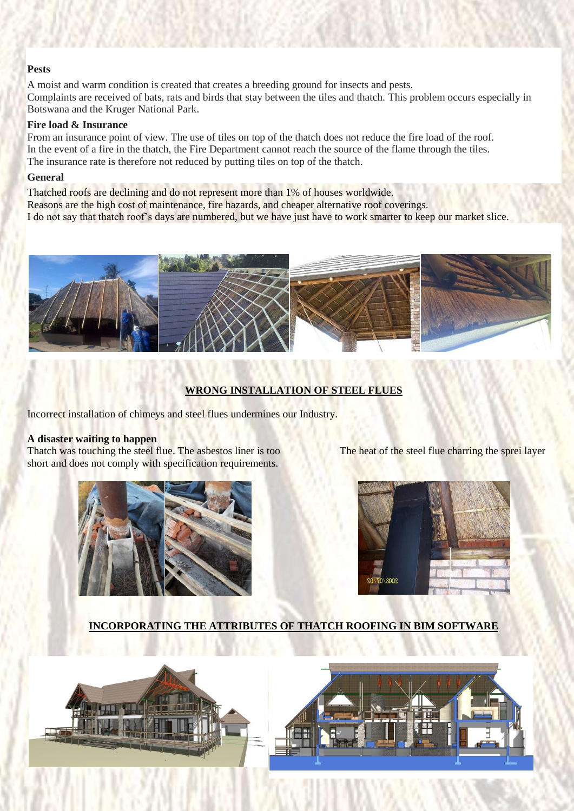## **Pests**

A moist and warm condition is created that creates a breeding ground for insects and pests. Complaints are received of bats, rats and birds that stay between the tiles and thatch. This problem occurs especially in Botswana and the Kruger National Park.

#### **Fire load & Insurance**

From an insurance point of view. The use of tiles on top of the thatch does not reduce the fire load of the roof. In the event of a fire in the thatch, the Fire Department cannot reach the source of the flame through the tiles. The insurance rate is therefore not reduced by putting tiles on top of the thatch.

#### **General**

Thatched roofs are declining and do not represent more than 1% of houses worldwide. Reasons are the high cost of maintenance, fire hazards, and cheaper alternative roof coverings. I do not say that thatch roof's days are numbered, but we have just have to work smarter to keep our market slice.



## **WRONG INSTALLATION OF STEEL FLUES**

Incorrect installation of chimeys and steel flues undermines our Industry.

#### **A disaster waiting to happen**

Thatch was touching the steel flue. The asbestos liner is too The heat of the steel flue charring the sprei layer short and does not comply with specification requirements.





## **INCORPORATING THE ATTRIBUTES OF THATCH ROOFING IN BIM SOFTWARE**